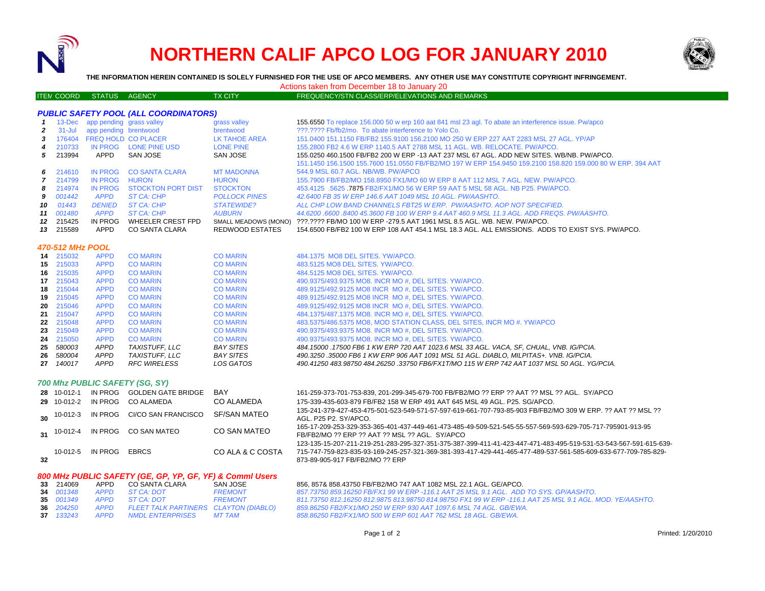

## **NORTHERN CALIF APCO LOG FOR JANUARY 2010**



**THE INFORMATION HEREIN CONTAINED IS SOLELY FURNISHED FOR THE USE OF APCO MEMBERS. ANY OTHER USE MAY CONSTITUTE COPYRIGHT INFRINGEMENT.**

Actions taken from December 18 to January 20

## ITEM COORD STATUS AGENCY TX CITY FREQUENCY/STN CLASS/ERP/ELEVATIONS AND REMARKS

| <b>PUBLIC SAFETY POOL (ALL COORDINATORS)</b> |                         |                            |                                |                        |                                                                                                                                                              |  |  |  |
|----------------------------------------------|-------------------------|----------------------------|--------------------------------|------------------------|--------------------------------------------------------------------------------------------------------------------------------------------------------------|--|--|--|
| 1                                            | $13 - Dec$              | app pending grass valley   |                                | grass valley           | 155.6550 To replace 156.000 50 w erp 160 aat 841 msl 23 agl. To abate an interference issue. Pw/apco                                                         |  |  |  |
| $\mathbf{2}$                                 | $31 -$ Jul              | app pending brentwood      |                                | brentwood              | ???.???? Fb/fb2/mo. To abate interference to Yolo Co.                                                                                                        |  |  |  |
| 3                                            | 176404                  | <b>FREQ HOLD CO PLACER</b> |                                | <b>LK TAHOE AREA</b>   | 151.0400 151.1150 FB/FB2 155.9100 156.2100 MO 250 W ERP 227 AAT 2283 MSL 27 AGL. YP/AP                                                                       |  |  |  |
| 4                                            | 210733                  |                            | IN PROG LONE PINE USD          | <b>LONE PINE</b>       | 155,2800 FB2 4.6 W ERP 1140.5 AAT 2788 MSL 11 AGL, WB, RELOCATE, PW/APCO,                                                                                    |  |  |  |
| 5                                            | 213994                  | APPD                       | SAN JOSE                       | SAN JOSE               | 155.0250 460.1500 FB/FB2 200 W ERP -13 AAT 237 MSL 67 AGL. ADD NEW SITES. WB/NB. PW/APCO.                                                                    |  |  |  |
|                                              |                         |                            |                                |                        | 151.1450 156.1500 155.7600 151.0550 FB/FB2/MO 197 W ERP 154.9450 159.2100 158.820 159.000 80 W ERP. 394 AAT                                                  |  |  |  |
| 6                                            | 214610                  | <b>IN PROG</b>             | <b>CO SANTA CLARA</b>          | <b>MT MADONNA</b>      | 544.9 MSL 60.7 AGL. NB/WB. PW/APCO                                                                                                                           |  |  |  |
| $\overline{7}$                               | 214799                  | <b>IN PROG</b>             | <b>HURON</b>                   | <b>HURON</b>           | 155.7900 FB/FB2/MO 158.8950 FX1/MO 60 W ERP 8 AAT 112 MSL 7 AGL, NEW, PW/APCO,                                                                               |  |  |  |
| 8                                            | 214974                  | <b>IN PROG</b>             | <b>STOCKTON PORT DIST</b>      | <b>STOCKTON</b>        | 453.4125 .5625 7875 FB2/FX1/MO 56 W ERP 59 AAT 5 MSL 58 AGL. NB P25, PW/APCO.                                                                                |  |  |  |
| 9                                            | 001442                  | <b>APPD</b>                | <b>ST CA: CHP</b>              | <b>POLLOCK PINES</b>   | 42.6400 FB 35 W ERP 146.6 AAT 1049 MSL 10 AGL. PW/AASHTO.                                                                                                    |  |  |  |
| 10                                           | 01443                   | <b>DENIED</b>              | <b>ST CA: CHP</b>              | <b>STATEWIDE?</b>      | ALL CHP LOW BAND CHANNELS FBT25 W ERP. PW/AASHTO, AOP NOT SPECIFIED.                                                                                         |  |  |  |
| 11                                           | 001480                  | <b>APPD</b>                | ST CA: CHP                     | <b>AUBURN</b>          | 44.6200,6600,8400,45.3600 FB 100 W ERP 9.4 AAT 460.9 MSL 11.3 AGL, ADD FREQS, PW/AASHTO,                                                                     |  |  |  |
| 12 <sup>12</sup>                             | 215425                  | IN PROG                    | WHEELER CREST FPD              | SMALL MEADOWS (MONO)   | ???.???? FB/MO 100 W ERP -279.5 AAT 1961 MSL 8.5 AGL. WB. NEW. PW/APCO.                                                                                      |  |  |  |
| 13                                           | 215589                  | APPD                       | <b>CO SANTA CLARA</b>          | <b>REDWOOD ESTATES</b> | 154,6500 FB/FB2 100 W ERP 108 AAT 454.1 MSL 18.3 AGL. ALL EMISSIONS. ADDS TO EXIST SYS. PW/APCO.                                                             |  |  |  |
|                                              | <b>470-512 MHz POOL</b> |                            |                                |                        |                                                                                                                                                              |  |  |  |
|                                              | 14 215032               | <b>APPD</b>                | <b>CO MARIN</b>                | <b>CO MARIN</b>        | 484.1375 MO8 DEL SITES, YW/APCO.                                                                                                                             |  |  |  |
|                                              | 15 215033               | <b>APPD</b>                | <b>CO MARIN</b>                | <b>CO MARIN</b>        | 483.5125 MO8 DEL SITES, YW/APCO.                                                                                                                             |  |  |  |
|                                              | 16 215035               | <b>APPD</b>                | <b>CO MARIN</b>                | <b>CO MARIN</b>        | 484.5125 MO8 DEL SITES, YW/APCO.                                                                                                                             |  |  |  |
|                                              | 17 215043               | <b>APPD</b>                | <b>CO MARIN</b>                | <b>CO MARIN</b>        | 490.9375/493.9375 MO8. INCR MO #, DEL SITES. YW/APCO.                                                                                                        |  |  |  |
|                                              | 18 215044               | <b>APPD</b>                | <b>CO MARIN</b>                | <b>CO MARIN</b>        | 489.9125/492.9125 MO8 INCR MO #, DEL SITES. YW/APCO.                                                                                                         |  |  |  |
| 19                                           | 215045                  | <b>APPD</b>                | <b>CO MARIN</b>                | <b>CO MARIN</b>        | 489.9125/492.9125 MO8 INCR MO #, DEL SITES. YW/APCO.                                                                                                         |  |  |  |
|                                              | 20 215046               | <b>APPD</b>                | <b>CO MARIN</b>                | <b>CO MARIN</b>        | 489.9125/492.9125 MO8 INCR MO #, DEL SITES. YW/APCO.                                                                                                         |  |  |  |
|                                              | 21 215047               | <b>APPD</b>                | <b>CO MARIN</b>                | <b>CO MARIN</b>        | 484.1375/487.1375 MO8. INCR MO #, DEL SITES, YW/APCO.                                                                                                        |  |  |  |
|                                              | 22 215048               | <b>APPD</b>                | <b>CO MARIN</b>                | <b>CO MARIN</b>        | 483.5375/486.5375 MO8, MOD STATION CLASS, DEL SITES, INCR MO #, YW/APCO                                                                                      |  |  |  |
| 23                                           | 215049                  | <b>APPD</b>                | <b>CO MARIN</b>                | <b>CO MARIN</b>        | 490.9375/493.9375 MO8. INCR MO #. DEL SITES. YW/APCO.                                                                                                        |  |  |  |
|                                              | 24 215050               | <b>APPD</b>                | <b>CO MARIN</b>                | <b>CO MARIN</b>        | 490.9375/493.9375 MO8. INCR MO #. DEL SITES. YW/APCO.                                                                                                        |  |  |  |
| 25                                           | 580003                  | <b>APPD</b>                | <b>TAXISTUFF, LLC</b>          | <b>BAY SITES</b>       | 484.15000.17500 FB6 1 KW ERP 720 AAT 1023.6 MSL 33 AGL. VACA, SF, CHUAL, VNB. IG/PCIA.                                                                       |  |  |  |
| 26                                           | 580004                  | <b>APPD</b>                | <b>TAXISTUFF, LLC</b>          | <b>BAY SITES</b>       | 490.3250.35000 FB6 1 KW ERP 906 AAT 1091 MSL 51 AGL. DIABLO. MILPITAS+. VNB. IG/PCIA.                                                                        |  |  |  |
| 27                                           | 140017                  | <b>APPD</b>                | <b>RFC WIRELESS</b>            | <b>LOS GATOS</b>       | 490.41250 483.98750 484.26250 .33750 FB6/FX1T/MO 115 W ERP 742 AAT 1037 MSL 50 AGL. YG/PCIA.                                                                 |  |  |  |
|                                              |                         |                            |                                |                        |                                                                                                                                                              |  |  |  |
|                                              |                         |                            | 700 Mhz PUBLIC SAFETY (SG, SY) |                        |                                                                                                                                                              |  |  |  |
|                                              | 28 10-012-1             |                            | IN PROG GOLDEN GATE BRIDGE     | BAY                    | 161-259-373-701-753-839, 201-299-345-679-700 FB/FB2/MO ?? ERP ?? AAT ?? MSL ?? AGL. SY/APCO                                                                  |  |  |  |
|                                              | 29 10-012-2             |                            | IN PROG CO ALAMEDA             | CO ALAMEDA             | 175-339-435-603-879 FB/FB2 158 W ERP 491 AAT 645 MSL 49 AGL, P25, SG/APCO,                                                                                   |  |  |  |
|                                              | 10-012-3                | IN PROG                    | CI/CO SAN FRANCISCO            | <b>SF/SAN MATEO</b>    | 135-241-379-427-453-475-501-523-549-571-57-597-619-661-707-793-85-903 FB/FB2/MO 309 W ERP. ?? AAT ?? MSL ??                                                  |  |  |  |
| 30                                           |                         |                            |                                |                        | AGL. P25 P2. SY/APCO.                                                                                                                                        |  |  |  |
| 31                                           | 10-012-4                |                            | IN PROG CO SAN MATEO           | <b>CO SAN MATEO</b>    | 165-17-209-253-329-353-365-401-437-449-461-473-485-49-509-521-545-55-557-569-593-629-705-717-795901-913-95<br>FB/FB2/MO ?? ERP ?? AAT ?? MSL ?? AGL. SY/APCO |  |  |  |
|                                              |                         |                            |                                |                        | 123-135-15-207-211-219-251-283-295-327-351-375-387-399-411-41-423-447-471-483-495-519-531-53-543-567-591-615-639-                                            |  |  |  |
|                                              | 10-012-5                | IN PROG                    | <b>EBRCS</b>                   | CO ALA & C COSTA       | 715-747-759-823-835-93-169-245-257-321-369-381-393-417-429-441-465-477-489-537-561-585-609-633-677-709-785-829-                                              |  |  |  |
| 32                                           |                         |                            |                                |                        | 873-89-905-917 FB/FB2/MO ?? ERP                                                                                                                              |  |  |  |
|                                              |                         |                            |                                |                        |                                                                                                                                                              |  |  |  |

| 800 MHz PUBLIC SAFETY (GE, GP, YP, GF, YF) & Comml Users |                  |      |                                            |                |                                                                                                          |  |  |  |
|----------------------------------------------------------|------------------|------|--------------------------------------------|----------------|----------------------------------------------------------------------------------------------------------|--|--|--|
|                                                          | 33 214069        | APPD | CO SANTA CLARA                             | SAN JOSE       | 856, 857& 858,43750 FB/FB2/MO 747 AAT 1082 MSL 22.1 AGL, GE/APCO,                                        |  |  |  |
|                                                          | 34 001348        |      | APPD STCA DOT                              | <b>FREMONT</b> | 857.73750 859.16250 FB/FX1 99 W ERP -116.1 AAT 25 MSL 9.1 AGL. ADD TO SYS. GP/AASHTO.                    |  |  |  |
|                                                          | 35 001349        |      | APPD STCA: DOT                             | <b>FREMONT</b> | 811.73750 812.16250 812.9875 813.98750 814.98750 FX1 99 W ERP -116.1 AAT 25 MSL 9.1 AGL. MOD. YE/AASHTO. |  |  |  |
|                                                          | <b>36</b> 204250 |      | APPD FLEET TALK PARTINERS CLAYTON (DIABLO) |                | 859.86250 FB2/FX1/MO 250 W ERP 930 AAT 1097.6 MSL 74 AGL. GB/EWA.                                        |  |  |  |
|                                                          | <b>37</b> 133243 | APPD | NMDL ENTERPRISES                           | MT TAM         | 858.86250 FB2/FX1/MO 500 W ERP 601 AAT 762 MSL 18 AGL, GB/EWA,                                           |  |  |  |